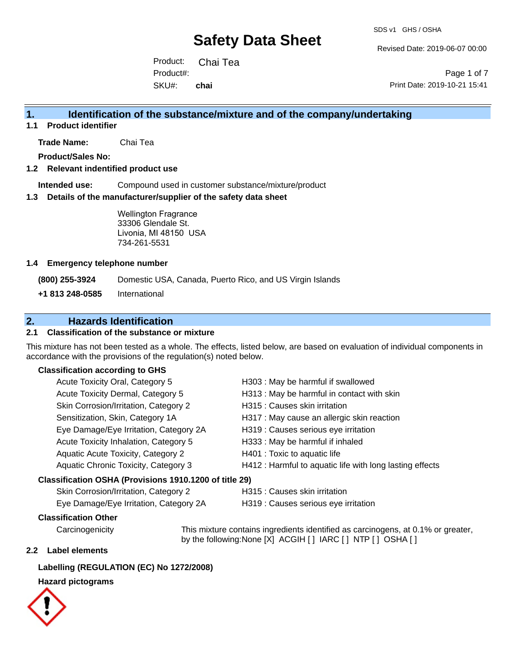Revised Date: 2019-06-07 00:00

Product: Chai Tea SKU#: Product#: **chai**

Page 1 of 7 Print Date: 2019-10-21 15:41

## **1. Identification of the substance/mixture and of the company/undertaking**

**1.1 Product identifier**

**Trade Name:** Chai Tea

**Product/Sales No:**

#### **1.2 Relevant indentified product use**

**Intended use:** Compound used in customer substance/mixture/product

#### **1.3 Details of the manufacturer/supplier of the safety data sheet**

Wellington Fragrance 33306 Glendale St. Livonia, MI 48150 USA 734-261-5531

#### **1.4 Emergency telephone number**

**(800) 255-3924** Domestic USA, Canada, Puerto Rico, and US Virgin Islands

**+1 813 248-0585** International

# **2. Hazards Identification**

#### **2.1 Classification of the substance or mixture**

This mixture has not been tested as a whole. The effects, listed below, are based on evaluation of individual components in accordance with the provisions of the regulation(s) noted below.

#### **Classification according to GHS**

|                                                        | Acute Toxicity Oral, Category 5        | H303 : May be harmful if swallowed                       |  |
|--------------------------------------------------------|----------------------------------------|----------------------------------------------------------|--|
|                                                        | Acute Toxicity Dermal, Category 5      | H313 : May be harmful in contact with skin               |  |
|                                                        | Skin Corrosion/Irritation, Category 2  | H315 : Causes skin irritation                            |  |
|                                                        | Sensitization, Skin, Category 1A       | H317 : May cause an allergic skin reaction               |  |
|                                                        | Eye Damage/Eye Irritation, Category 2A | H319 : Causes serious eye irritation                     |  |
|                                                        | Acute Toxicity Inhalation, Category 5  | H333: May be harmful if inhaled                          |  |
|                                                        | Aquatic Acute Toxicity, Category 2     | H401 : Toxic to aquatic life                             |  |
|                                                        | Aquatic Chronic Toxicity, Category 3   | H412 : Harmful to aquatic life with long lasting effects |  |
| Classification OSHA (Provisions 1910.1200 of title 29) |                                        |                                                          |  |
|                                                        | Skin Corrosion/Irritation, Category 2  | H315 : Causes skin irritation                            |  |
|                                                        |                                        |                                                          |  |

Eye Damage/Eye Irritation, Category 2A H319 : Causes serious eye irritation

#### **Classification Other**

Carcinogenicity This mixture contains ingredients identified as carcinogens, at 0.1% or greater, by the following:None [X] ACGIH [ ] IARC [ ] NTP [ ] OSHA [ ]

#### **2.2 Label elements**

#### **Labelling (REGULATION (EC) No 1272/2008)**

#### **Hazard pictograms**

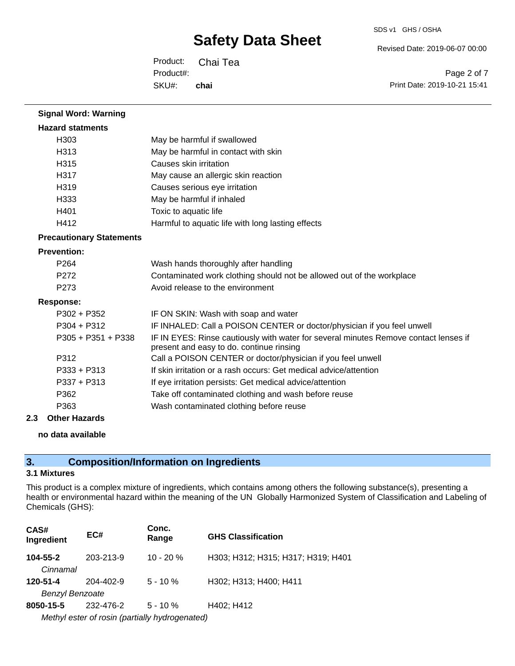SDS v1 GHS / OSHA

Revised Date: 2019-06-07 00:00

Product: Chai Tea SKU#: Product#: **chai**

Page 2 of 7 Print Date: 2019-10-21 15:41

| <b>Signal Word: Warning</b>     |                                                                                                                                  |  |  |
|---------------------------------|----------------------------------------------------------------------------------------------------------------------------------|--|--|
| <b>Hazard statments</b>         |                                                                                                                                  |  |  |
| H303                            | May be harmful if swallowed                                                                                                      |  |  |
| H313                            | May be harmful in contact with skin                                                                                              |  |  |
| H315                            | Causes skin irritation                                                                                                           |  |  |
| H317                            | May cause an allergic skin reaction                                                                                              |  |  |
| H319                            | Causes serious eye irritation                                                                                                    |  |  |
| H333                            | May be harmful if inhaled                                                                                                        |  |  |
| H401                            | Toxic to aquatic life                                                                                                            |  |  |
| H412                            | Harmful to aquatic life with long lasting effects                                                                                |  |  |
| <b>Precautionary Statements</b> |                                                                                                                                  |  |  |
| <b>Prevention:</b>              |                                                                                                                                  |  |  |
| P <sub>264</sub>                | Wash hands thoroughly after handling                                                                                             |  |  |
| P <sub>272</sub>                | Contaminated work clothing should not be allowed out of the workplace                                                            |  |  |
| P <sub>273</sub>                | Avoid release to the environment                                                                                                 |  |  |
| <b>Response:</b>                |                                                                                                                                  |  |  |
| $P302 + P352$                   | IF ON SKIN: Wash with soap and water                                                                                             |  |  |
| $P304 + P312$                   | IF INHALED: Call a POISON CENTER or doctor/physician if you feel unwell                                                          |  |  |
| $P305 + P351 + P338$            | IF IN EYES: Rinse cautiously with water for several minutes Remove contact lenses if<br>present and easy to do. continue rinsing |  |  |
| P312                            | Call a POISON CENTER or doctor/physician if you feel unwell                                                                      |  |  |
| $P333 + P313$                   | If skin irritation or a rash occurs: Get medical advice/attention                                                                |  |  |
| $P337 + P313$                   | If eye irritation persists: Get medical advice/attention                                                                         |  |  |
| P362                            | Take off contaminated clothing and wash before reuse                                                                             |  |  |
| P363                            | Wash contaminated clothing before reuse                                                                                          |  |  |

### **2.3 Other Hazards**

### **no data available**

# **3. Composition/Information on Ingredients**

### **3.1 Mixtures**

This product is a complex mixture of ingredients, which contains among others the following substance(s), presenting a health or environmental hazard within the meaning of the UN Globally Harmonized System of Classification and Labeling of Chemicals (GHS):

| CAS#<br>Ingredient                             | EC#       | Conc.<br>Range | <b>GHS Classification</b>          |
|------------------------------------------------|-----------|----------------|------------------------------------|
| 104-55-2                                       | 203-213-9 | $10 - 20%$     | H303; H312; H315; H317; H319; H401 |
| Cinnamal                                       |           |                |                                    |
| 120-51-4                                       | 204-402-9 | $5 - 10 \%$    | H302; H313; H400; H411             |
| <b>Benzyl Benzoate</b>                         |           |                |                                    |
| 8050-15-5                                      | 232-476-2 | $5 - 10 \%$    | H402: H412                         |
| Methyl ester of rosin (partially hydrogenated) |           |                |                                    |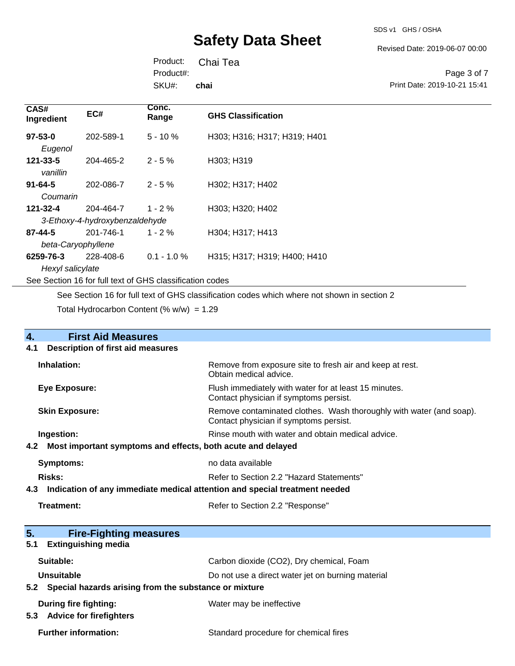SDS v1 GHS / OSHA

Revised Date: 2019-06-07 00:00

Product: Chai Tea SKU#: Product#: **chai**

Page 3 of 7 Print Date: 2019-10-21 15:41

| CAS#<br>Ingredient                                       | EC#       | Conc.<br>Range | <b>GHS Classification</b>    |
|----------------------------------------------------------|-----------|----------------|------------------------------|
| $97 - 53 - 0$                                            | 202-589-1 | $5 - 10 \%$    | H303; H316; H317; H319; H401 |
| Eugenol                                                  |           |                |                              |
| $121 - 33 - 5$                                           | 204-465-2 | $2 - 5%$       | H303; H319                   |
| vanillin                                                 |           |                |                              |
| $91 - 64 - 5$                                            | 202-086-7 | $2 - 5%$       | H302; H317; H402             |
| Coumarin                                                 |           |                |                              |
| 121-32-4                                                 | 204-464-7 | $1 - 2 \%$     | H303; H320; H402             |
| 3-Ethoxy-4-hydroxybenzaldehyde                           |           |                |                              |
| $87 - 44 - 5$                                            | 201-746-1 | $1 - 2 \%$     | H304; H317; H413             |
| beta-Caryophyllene                                       |           |                |                              |
| 6259-76-3                                                | 228-408-6 | $0.1 - 1.0 %$  | H315; H317; H319; H400; H410 |
| Hexyl salicylate                                         |           |                |                              |
| See Section 16 for full text of GHS classification codes |           |                |                              |

See Section 16 for full text of GHS classification codes which where not shown in section 2

Total Hydrocarbon Content (%  $w/w$ ) = 1.29

| <b>First Aid Measures</b><br>4.                                                   |                                                                                                               |  |
|-----------------------------------------------------------------------------------|---------------------------------------------------------------------------------------------------------------|--|
| <b>Description of first aid measures</b><br>4.1                                   |                                                                                                               |  |
| Inhalation:                                                                       | Remove from exposure site to fresh air and keep at rest.<br>Obtain medical advice.                            |  |
| <b>Eye Exposure:</b>                                                              | Flush immediately with water for at least 15 minutes.<br>Contact physician if symptoms persist.               |  |
| <b>Skin Exposure:</b>                                                             | Remove contaminated clothes. Wash thoroughly with water (and soap).<br>Contact physician if symptoms persist. |  |
| Ingestion:                                                                        | Rinse mouth with water and obtain medical advice.                                                             |  |
| Most important symptoms and effects, both acute and delayed<br>4.2                |                                                                                                               |  |
| <b>Symptoms:</b>                                                                  | no data available                                                                                             |  |
| Risks:                                                                            | Refer to Section 2.2 "Hazard Statements"                                                                      |  |
| Indication of any immediate medical attention and special treatment needed<br>4.3 |                                                                                                               |  |
| Treatment:                                                                        | Refer to Section 2.2 "Response"                                                                               |  |
| 5.<br><b>Fire-Fighting measures</b>                                               |                                                                                                               |  |
| <b>Extinguishing media</b><br>5.1                                                 |                                                                                                               |  |
| Suitable:                                                                         | Carbon dioxide (CO2), Dry chemical, Foam                                                                      |  |
| Unsuitable                                                                        | Do not use a direct water jet on burning material                                                             |  |
|                                                                                   | 5.2 Special hazards arising from the substance or mixture                                                     |  |
| <b>During fire fighting:</b>                                                      | Water may be ineffective                                                                                      |  |

**5.3 Advice for firefighters**

Further information: **Further information:** Standard procedure for chemical fires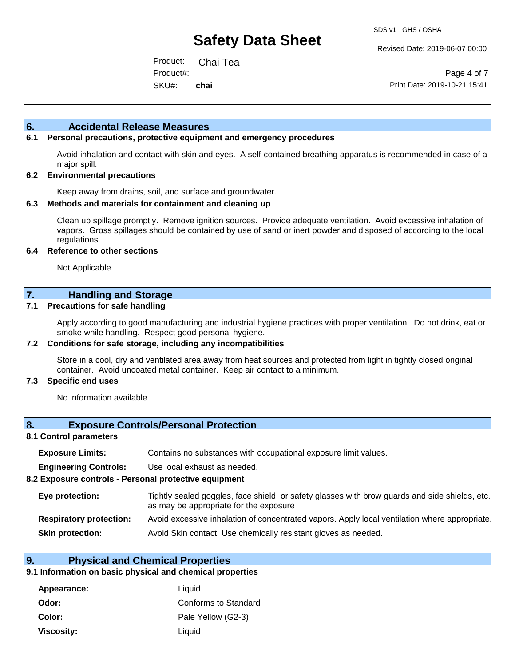Revised Date: 2019-06-07 00:00

Product: Chai Tea SKU#: Product#: **chai**

Page 4 of 7 Print Date: 2019-10-21 15:41

#### **6. Accidental Release Measures**

### **6.1 Personal precautions, protective equipment and emergency procedures**

Avoid inhalation and contact with skin and eyes. A self-contained breathing apparatus is recommended in case of a major spill.

#### **6.2 Environmental precautions**

Keep away from drains, soil, and surface and groundwater.

#### **6.3 Methods and materials for containment and cleaning up**

Clean up spillage promptly. Remove ignition sources. Provide adequate ventilation. Avoid excessive inhalation of vapors. Gross spillages should be contained by use of sand or inert powder and disposed of according to the local regulations.

#### **6.4 Reference to other sections**

Not Applicable

### **7. Handling and Storage**

#### **7.1 Precautions for safe handling**

Apply according to good manufacturing and industrial hygiene practices with proper ventilation. Do not drink, eat or smoke while handling. Respect good personal hygiene.

#### **7.2 Conditions for safe storage, including any incompatibilities**

Store in a cool, dry and ventilated area away from heat sources and protected from light in tightly closed original container. Avoid uncoated metal container. Keep air contact to a minimum.

#### **7.3 Specific end uses**

No information available

#### **8. Exposure Controls/Personal Protection**

#### **8.1 Control parameters**

| <b>Exposure Limits:</b><br>Contains no substances with occupational exposure limit values. |
|--------------------------------------------------------------------------------------------|
|--------------------------------------------------------------------------------------------|

**Engineering Controls:** Use local exhaust as needed.

#### **8.2 Exposure controls - Personal protective equipment**

| Eye protection:                | Tightly sealed goggles, face shield, or safety glasses with brow guards and side shields, etc.<br>as may be appropriate for the exposure |
|--------------------------------|------------------------------------------------------------------------------------------------------------------------------------------|
| <b>Respiratory protection:</b> | Avoid excessive inhalation of concentrated vapors. Apply local ventilation where appropriate.                                            |
| <b>Skin protection:</b>        | Avoid Skin contact. Use chemically resistant gloves as needed.                                                                           |

#### **9. Physical and Chemical Properties**

#### **9.1 Information on basic physical and chemical properties**

| Appearance:       | Liquid               |
|-------------------|----------------------|
| Odor:             | Conforms to Standard |
| Color:            | Pale Yellow (G2-3)   |
| <b>Viscosity:</b> | Liquid               |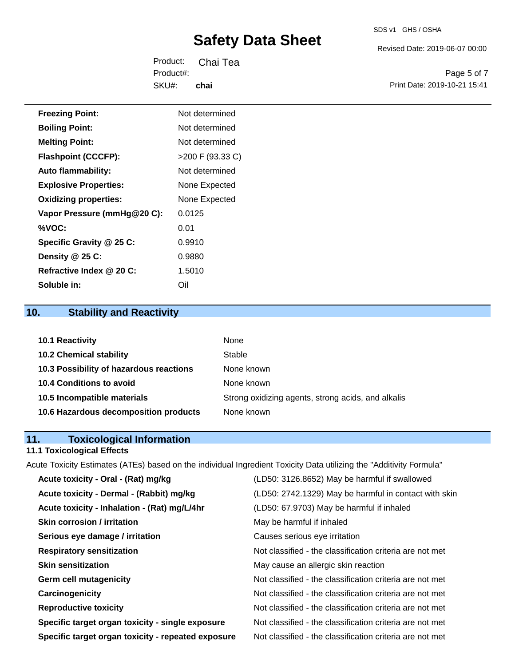#### SDS v1 GHS / OSHA

# **Safety Data Sheet**

Revised Date: 2019-06-07 00:00

Product: Chai Tea SKU#: Product#: **chai**

Page 5 of 7 Print Date: 2019-10-21 15:41

| <b>Freezing Point:</b>       | Not determined     |
|------------------------------|--------------------|
| <b>Boiling Point:</b>        | Not determined     |
| <b>Melting Point:</b>        | Not determined     |
| <b>Flashpoint (CCCFP):</b>   | $>200$ F (93.33 C) |
| <b>Auto flammability:</b>    | Not determined     |
| <b>Explosive Properties:</b> | None Expected      |
| <b>Oxidizing properties:</b> | None Expected      |
| Vapor Pressure (mmHg@20 C):  | 0.0125             |
| %VOC:                        | 0.01               |
| Specific Gravity @ 25 C:     | 0.9910             |
| Density @ 25 C:              | 0.9880             |
| Refractive Index @ 20 C:     | 1.5010             |
| Soluble in:                  | Oil                |

# **10. Stability and Reactivity**

| <b>10.1 Reactivity</b>                  | None                                               |
|-----------------------------------------|----------------------------------------------------|
| <b>10.2 Chemical stability</b>          | Stable                                             |
| 10.3 Possibility of hazardous reactions | None known                                         |
| <b>10.4 Conditions to avoid</b>         | None known                                         |
| 10.5 Incompatible materials             | Strong oxidizing agents, strong acids, and alkalis |
| 10.6 Hazardous decomposition products   | None known                                         |

# **11. Toxicological Information**

# **11.1 Toxicological Effects**

Acute Toxicity Estimates (ATEs) based on the individual Ingredient Toxicity Data utilizing the "Additivity Formula"

| Acute toxicity - Oral - (Rat) mg/kg                | (LD50: 3126.8652) May be harmful if swallowed            |
|----------------------------------------------------|----------------------------------------------------------|
| Acute toxicity - Dermal - (Rabbit) mg/kg           | (LD50: 2742.1329) May be harmful in contact with skin    |
| Acute toxicity - Inhalation - (Rat) mg/L/4hr       | (LD50: 67.9703) May be harmful if inhaled                |
| <b>Skin corrosion / irritation</b>                 | May be harmful if inhaled                                |
| Serious eye damage / irritation                    | Causes serious eye irritation                            |
| <b>Respiratory sensitization</b>                   | Not classified - the classification criteria are not met |
| <b>Skin sensitization</b>                          | May cause an allergic skin reaction                      |
| <b>Germ cell mutagenicity</b>                      | Not classified - the classification criteria are not met |
| Carcinogenicity                                    | Not classified - the classification criteria are not met |
| <b>Reproductive toxicity</b>                       | Not classified - the classification criteria are not met |
| Specific target organ toxicity - single exposure   | Not classified - the classification criteria are not met |
| Specific target organ toxicity - repeated exposure | Not classified - the classification criteria are not met |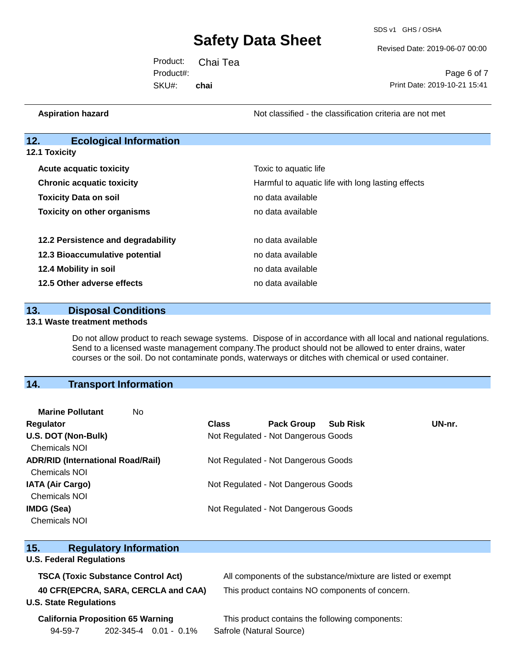SDS v1 GHS / OSHA

Revised Date: 2019-06-07 00:00

Product: Chai Tea SKU#: Product#: **chai**

Page 6 of 7 Print Date: 2019-10-21 15:41

**Aspiration hazard Aspiration hazard Not classified - the classification criteria are not met** 

## **12. Ecological Information**

**12.1 Toxicity**

| <b>Acute acquatic toxicity</b>     | Toxic to aquatic life                             |
|------------------------------------|---------------------------------------------------|
| <b>Chronic acquatic toxicity</b>   | Harmful to aquatic life with long lasting effects |
| <b>Toxicity Data on soil</b>       | no data available                                 |
| <b>Toxicity on other organisms</b> | no data available                                 |
| 12.2 Persistence and degradability | no data available                                 |
| 12.3 Bioaccumulative potential     | no data available                                 |
| 12.4 Mobility in soil              | no data available                                 |
| 12.5 Other adverse effects         | no data available                                 |

### **13. Disposal Conditions**

#### **13.1 Waste treatment methods**

Do not allow product to reach sewage systems. Dispose of in accordance with all local and national regulations. Send to a licensed waste management company.The product should not be allowed to enter drains, water courses or the soil. Do not contaminate ponds, waterways or ditches with chemical or used container.

## **14. Transport Information**

| <b>Marine Pollutant</b><br>No.           |              |                                     |                 |        |
|------------------------------------------|--------------|-------------------------------------|-----------------|--------|
| <b>Regulator</b>                         | <b>Class</b> | <b>Pack Group</b>                   | <b>Sub Risk</b> | UN-nr. |
| U.S. DOT (Non-Bulk)                      |              | Not Regulated - Not Dangerous Goods |                 |        |
| <b>Chemicals NOI</b>                     |              |                                     |                 |        |
| <b>ADR/RID (International Road/Rail)</b> |              | Not Regulated - Not Dangerous Goods |                 |        |
| <b>Chemicals NOI</b>                     |              |                                     |                 |        |
| <b>IATA (Air Cargo)</b>                  |              | Not Regulated - Not Dangerous Goods |                 |        |
| <b>Chemicals NOI</b>                     |              |                                     |                 |        |
| IMDG (Sea)                               |              | Not Regulated - Not Dangerous Goods |                 |        |
| <b>Chemicals NOI</b>                     |              |                                     |                 |        |

| 15.                                 | <b>Regulatory Information</b>             |                                                              |  |
|-------------------------------------|-------------------------------------------|--------------------------------------------------------------|--|
| <b>U.S. Federal Regulations</b>     |                                           |                                                              |  |
|                                     | <b>TSCA (Toxic Substance Control Act)</b> | All components of the substance/mixture are listed or exempt |  |
| 40 CFR(EPCRA, SARA, CERCLA and CAA) |                                           | This product contains NO components of concern.              |  |
| <b>U.S. State Regulations</b>       |                                           |                                                              |  |
|                                     | <b>California Proposition 65 Warning</b>  | This product contains the following components:              |  |
| 94-59-7                             | $202 - 345 - 4$ 0.01 - 0.1%               | Safrole (Natural Source)                                     |  |
|                                     |                                           |                                                              |  |